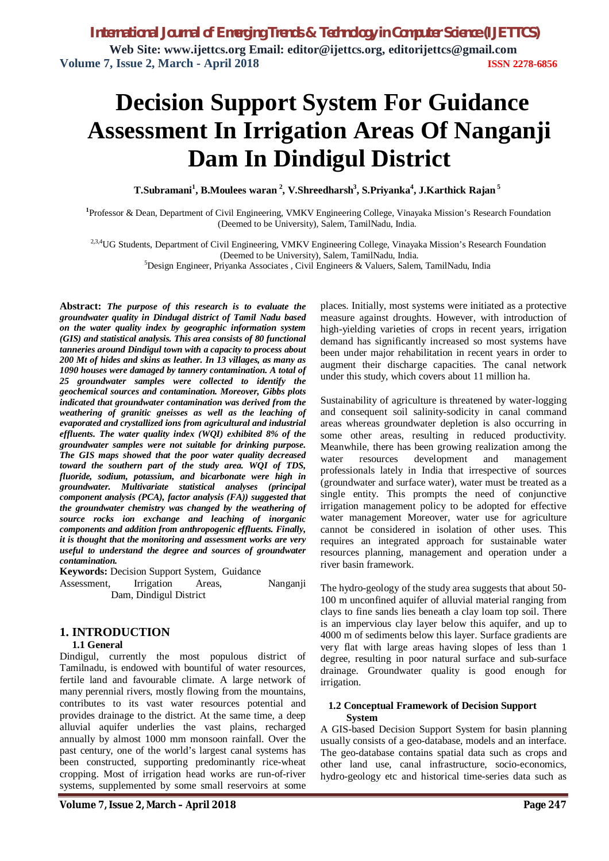# **Decision Support System For Guidance Assessment In Irrigation Areas Of Nanganji Dam In Dindigul District**

**T.Subramani<sup>1</sup> , B.Moulees waran <sup>2</sup> , V.Shreedharsh<sup>3</sup> , S.Priyanka<sup>4</sup> , J.Karthick Rajan <sup>5</sup>**

**1** Professor & Dean, Department of Civil Engineering, VMKV Engineering College, Vinayaka Mission's Research Foundation (Deemed to be University), Salem, TamilNadu, India.

<sup>2,3,4</sup>UG Students, Department of Civil Engineering, VMKV Engineering College, Vinayaka Mission's Research Foundation (Deemed to be University), Salem, TamilNadu, India.

<sup>5</sup>Design Engineer, Priyanka Associates , Civil Engineers & Valuers, Salem, TamilNadu, India

**Abstract:** *The purpose of this research is to evaluate the groundwater quality in Dindugal district of Tamil Nadu based on the water quality index by geographic information system (GIS) and statistical analysis. This area consists of 80 functional tanneries around Dindigul town with a capacity to process about 200 Mt of hides and skins as leather. In 13 villages, as many as 1090 houses were damaged by tannery contamination. A total of 25 groundwater samples were collected to identify the geochemical sources and contamination. Moreover, Gibbs plots indicated that groundwater contamination was derived from the weathering of granitic gneisses as well as the leaching of evaporated and crystallized ions from agricultural and industrial effluents. The water quality index (WQI) exhibited 8% of the groundwater samples were not suitable for drinking purpose. The GIS maps showed that the poor water quality decreased toward the southern part of the study area. WQI of TDS, fluoride, sodium, potassium, and bicarbonate were high in groundwater. Multivariate statistical analyses (principal component analysis (PCA), factor analysis (FA)) suggested that the groundwater chemistry was changed by the weathering of source rocks ion exchange and leaching of inorganic components and addition from anthropogenic effluents. Finally, it is thought that the monitoring and assessment works are very useful to understand the degree and sources of groundwater contamination.*

**Keywords:** Decision Support System, Guidance Assessment, Irrigation Areas, Nanganji Dam, Dindigul District

## **1. INTRODUCTION**

#### **1.1 General**

Dindigul, currently the most populous district of Tamilnadu, is endowed with bountiful of water resources, fertile land and favourable climate. A large network of many perennial rivers, mostly flowing from the mountains, contributes to its vast water resources potential and provides drainage to the district. At the same time, a deep alluvial aquifer underlies the vast plains, recharged annually by almost 1000 mm monsoon rainfall. Over the past century, one of the world's largest canal systems has been constructed, supporting predominantly rice-wheat cropping. Most of irrigation head works are run-of-river systems, supplemented by some small reservoirs at some

places. Initially, most systems were initiated as a protective measure against droughts. However, with introduction of high-yielding varieties of crops in recent years, irrigation demand has significantly increased so most systems have been under major rehabilitation in recent years in order to augment their discharge capacities. The canal network under this study, which covers about 11 million ha.

Sustainability of agriculture is threatened by water-logging and consequent soil salinity-sodicity in canal command areas whereas groundwater depletion is also occurring in some other areas, resulting in reduced productivity. Meanwhile, there has been growing realization among the water resources development and management professionals lately in India that irrespective of sources (groundwater and surface water), water must be treated as a single entity. This prompts the need of conjunctive irrigation management policy to be adopted for effective water management Moreover, water use for agriculture cannot be considered in isolation of other uses. This requires an integrated approach for sustainable water resources planning, management and operation under a river basin framework.

The hydro-geology of the study area suggests that about 50- 100 m unconfined aquifer of alluvial material ranging from clays to fine sands lies beneath a clay loam top soil. There is an impervious clay layer below this aquifer, and up to 4000 m of sediments below this layer. Surface gradients are very flat with large areas having slopes of less than 1 degree, resulting in poor natural surface and sub-surface drainage. Groundwater quality is good enough for irrigation.

#### **1.2 Conceptual Framework of Decision Support System**

A GIS-based Decision Support System for basin planning usually consists of a geo-database, models and an interface. The geo-database contains spatial data such as crops and other land use, canal infrastructure, socio-economics, hydro-geology etc and historical time-series data such as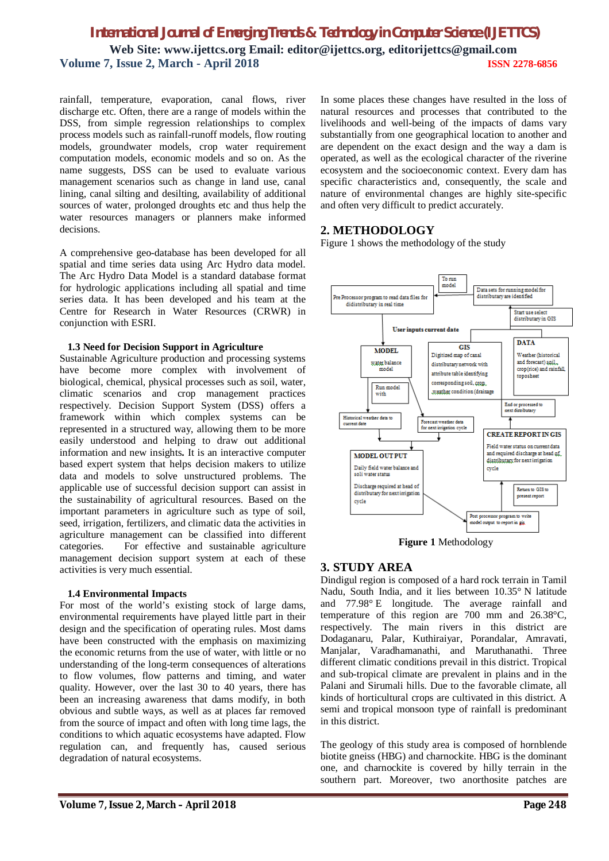rainfall, temperature, evaporation, canal flows, river discharge etc. Often, there are a range of models within the DSS, from simple regression relationships to complex process models such as rainfall-runoff models, flow routing models, groundwater models, crop water requirement computation models, economic models and so on. As the name suggests, DSS can be used to evaluate various management scenarios such as change in land use, canal lining, canal silting and desilting, availability of additional sources of water, prolonged droughts etc and thus help the water resources managers or planners make informed decisions.

A comprehensive geo-database has been developed for all spatial and time series data using Arc Hydro data model. The Arc Hydro Data Model is a standard database format for hydrologic applications including all spatial and time series data. It has been developed and his team at the Centre for Research in Water Resources (CRWR) in conjunction with ESRI.

#### **1.3 Need for Decision Support in Agriculture**

Sustainable Agriculture production and processing systems have become more complex with involvement of biological, chemical, physical processes such as soil, water, climatic scenarios and crop management practices respectively. Decision Support System (DSS) offers a framework within which complex systems can be represented in a structured way, allowing them to be more easily understood and helping to draw out additional information and new insights**.** It is an interactive computer based expert system that helps decision makers to utilize data and models to solve unstructured problems. The applicable use of successful decision support can assist in the sustainability of agricultural resources. Based on the important parameters in agriculture such as type of soil, seed, irrigation, fertilizers, and climatic data the activities in agriculture management can be classified into different categories. For effective and sustainable agriculture management decision support system at each of these activities is very much essential.

#### **1.4 Environmental Impacts**

For most of the world's existing stock of large dams, environmental requirements have played little part in their design and the specification of operating rules. Most dams have been constructed with the emphasis on maximizing the economic returns from the use of water, with little or no understanding of the long-term consequences of alterations to flow volumes, flow patterns and timing, and water quality. However, over the last 30 to 40 years, there has been an increasing awareness that dams modify, in both obvious and subtle ways, as well as at places far removed from the source of impact and often with long time lags, the conditions to which aquatic ecosystems have adapted. Flow regulation can, and frequently has, caused serious degradation of natural ecosystems.

In some places these changes have resulted in the loss of natural resources and processes that contributed to the livelihoods and well-being of the impacts of dams vary substantially from one geographical location to another and are dependent on the exact design and the way a dam is operated, as well as the ecological character of the riverine ecosystem and the socioeconomic context. Every dam has specific characteristics and, consequently, the scale and nature of environmental changes are highly site-specific and often very difficult to predict accurately.

## **2. METHODOLOGY**

Figure 1 shows the methodology of the study



**Figure 1** Methodology

## **3. STUDY AREA**

Dindigul region is composed of a hard rock terrain in Tamil Nadu, South India, and it lies between 10.35° N latitude and 77.98° E longitude. The average rainfall and temperature of this region are 700 mm and 26.38°C, respectively. The main rivers in this district are Dodaganaru, Palar, Kuthiraiyar, Porandalar, Amravati, Manjalar, Varadhamanathi, and Maruthanathi. Three different climatic conditions prevail in this district. Tropical and sub-tropical climate are prevalent in plains and in the Palani and Sirumali hills. Due to the favorable climate, all kinds of horticultural crops are cultivated in this district. A semi and tropical monsoon type of rainfall is predominant in this district.

The geology of this study area is composed of hornblende biotite gneiss (HBG) and charnockite. HBG is the dominant one, and charnockite is covered by hilly terrain in the southern part. Moreover, two anorthosite patches are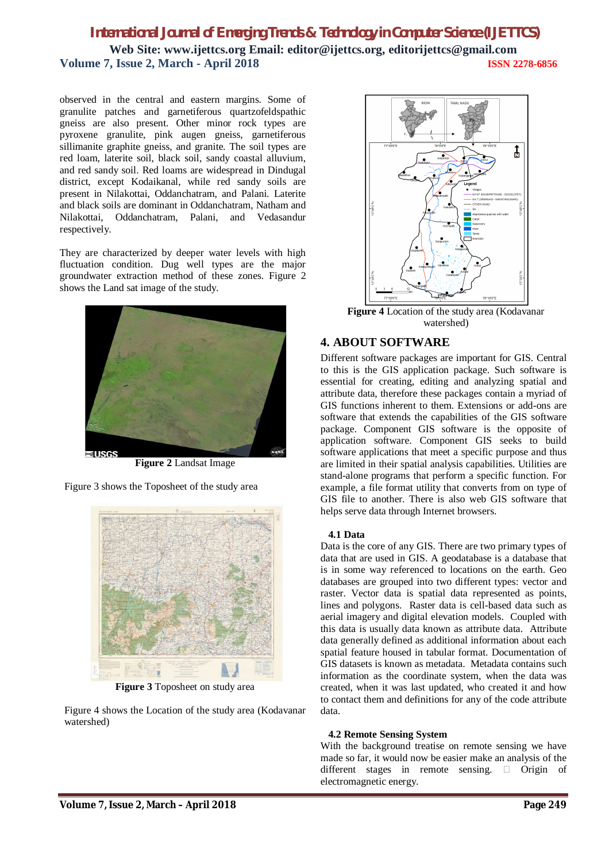observed in the central and eastern margins. Some of granulite patches and garnetiferous quartzofeldspathic gneiss are also present. Other minor rock types are pyroxene granulite, pink augen gneiss, garnetiferous sillimanite graphite gneiss, and granite. The soil types are red loam, laterite soil, black soil, sandy coastal alluvium, and red sandy soil. Red loams are widespread in Dindugal district, except Kodaikanal, while red sandy soils are present in Nilakottai, Oddanchatram, and Palani. Laterite and black soils are dominant in Oddanchatram, Natham and Nilakottai, Oddanchatram, Palani, and Vedasandur respectively.

They are characterized by deeper water levels with high fluctuation condition. Dug well types are the major groundwater extraction method of these zones. Figure 2 shows the Land sat image of the study.



**Figure 2** Landsat Image

Figure 3 shows the Toposheet of the study area



**Figure 3** Toposheet on study area

Figure 4 shows the Location of the study area (Kodavanar watershed)



**Figure 4** Location of the study area (Kodavanar watershed)

## **4. ABOUT SOFTWARE**

Different software packages are important for GIS. Central to this is the GIS application package. Such software is essential for creating, editing and analyzing spatial and attribute data, therefore these packages contain a myriad of GIS functions inherent to them. Extensions or add-ons are software that extends the capabilities of the GIS software package. Component GIS software is the opposite of application software. Component GIS seeks to build software applications that meet a specific purpose and thus are limited in their spatial analysis capabilities. Utilities are stand-alone programs that perform a specific function. For example, a file format utility that converts from on type of GIS file to another. There is also web GIS software that helps serve data through Internet browsers.

#### **4.1 Data**

Data is the core of any GIS. There are two primary types of data that are used in GIS. A geodatabase is a database that is in some way referenced to locations on the earth. Geo databases are grouped into two different types: vector and raster. Vector data is spatial data represented as points, lines and polygons. Raster data is cell-based data such as aerial imagery and digital elevation models. Coupled with this data is usually data known as attribute data. Attribute data generally defined as additional information about each spatial feature housed in tabular format. Documentation of GIS datasets is known as metadata. Metadata contains such information as the coordinate system, when the data was created, when it was last updated, who created it and how to contact them and definitions for any of the code attribute data.

## **4.2 Remote Sensing System**

With the background treatise on remote sensing we have made so far, it would now be easier make an analysis of the different stages in remote sensing.  $\Box$  Origin of electromagnetic energy.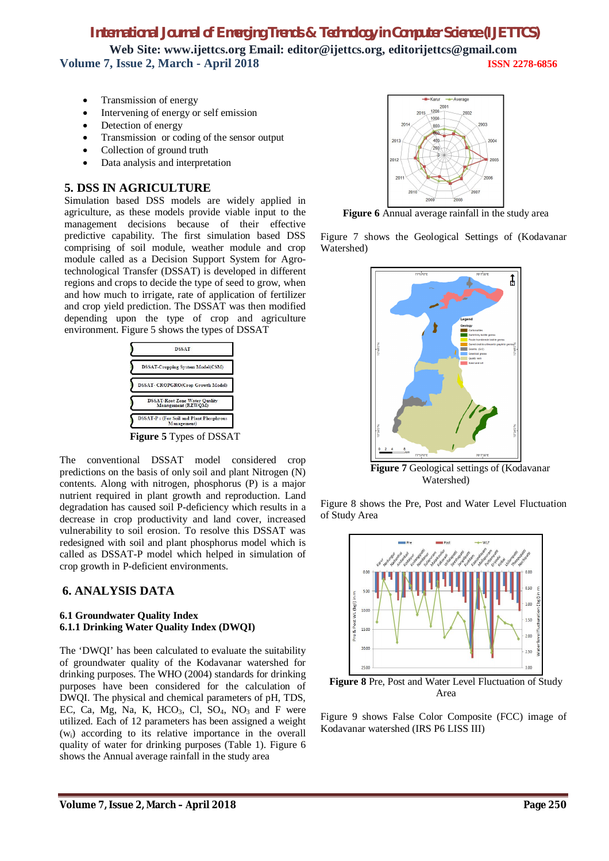## *International Journal of Emerging Trends & Technology in Computer Science (IJETTCS)*

**Web Site: www.ijettcs.org Email: editor@ijettcs.org, editorijettcs@gmail.com Volume 7, Issue 2, March - April 2018 ISSN 2278-6856**

- Transmission of energy
- Intervening of energy or self emission
- Detection of energy
- Transmission or coding of the sensor output
- Collection of ground truth
- Data analysis and interpretation

## **5. DSS IN AGRICULTURE**

Simulation based DSS models are widely applied in agriculture, as these models provide viable input to the management decisions because of their effective predictive capability. The first simulation based DSS comprising of soil module, weather module and crop module called as a Decision Support System for Agrotechnological Transfer (DSSAT) is developed in different regions and crops to decide the type of seed to grow, when and how much to irrigate, rate of application of fertilizer and crop yield prediction. The DSSAT was then modified depending upon the type of crop and agriculture environment. Figure 5 shows the types of DSSAT



**Figure 5** Types of DSSAT

The conventional DSSAT model considered crop predictions on the basis of only soil and plant Nitrogen (N) contents. Along with nitrogen, phosphorus (P) is a major nutrient required in plant growth and reproduction. Land degradation has caused soil P-deficiency which results in a decrease in crop productivity and land cover, increased vulnerability to soil erosion. To resolve this DSSAT was redesigned with soil and plant phosphorus model which is called as DSSAT-P model which helped in simulation of crop growth in P-deficient environments.

## **6. ANALYSIS DATA**

#### **6.1 Groundwater Quality Index 6.1.1 Drinking Water Quality Index (DWQI)**

The 'DWQI' has been calculated to evaluate the suitability of groundwater quality of the Kodavanar watershed for drinking purposes. The WHO (2004) standards for drinking purposes have been considered for the calculation of DWQI. The physical and chemical parameters of pH, TDS, EC, Ca, Mg, Na, K, HCO<sub>3</sub>, Cl, SO<sub>4</sub>, NO<sub>3</sub> and F were utilized. Each of 12 parameters has been assigned a weight (wi) according to its relative importance in the overall quality of water for drinking purposes (Table 1). Figure 6 shows the Annual average rainfall in the study area



**Figure 6** Annual average rainfall in the study area

Figure 7 shows the Geological Settings of (Kodavanar Watershed)



Figure 8 shows the Pre, Post and Water Level Fluctuation of Study Area



Area

Figure 9 shows False Color Composite (FCC) image of Kodavanar watershed (IRS P6 LISS III)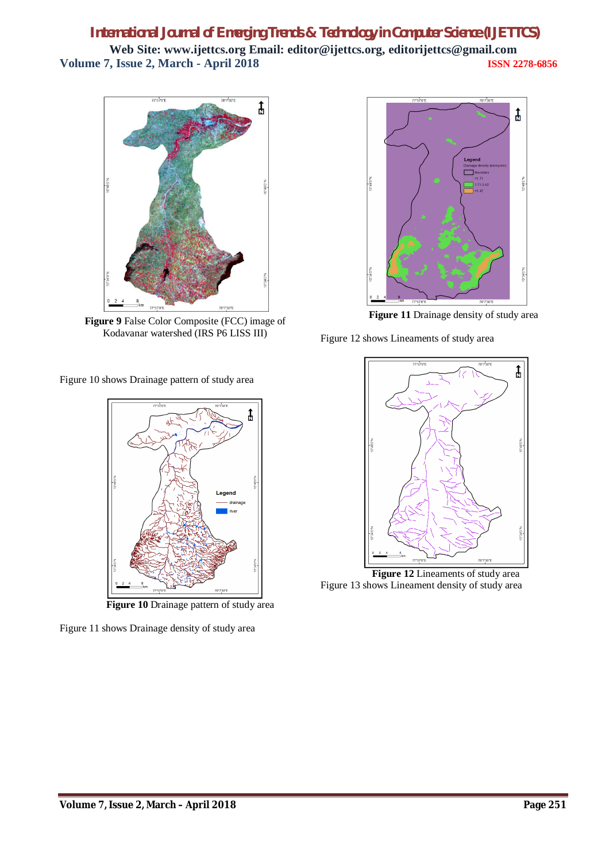

**Figure 9** False Color Composite (FCC) image of Kodavanar watershed (IRS P6 LISS III)

Figure 10 shows Drainage pattern of study area



 **Figure 10** Drainage pattern of study area

Figure 11 shows Drainage density of study area



**Figure 11** Drainage density of study area

Figure 12 shows Lineaments of study area



Figure 13 shows Lineament density of study area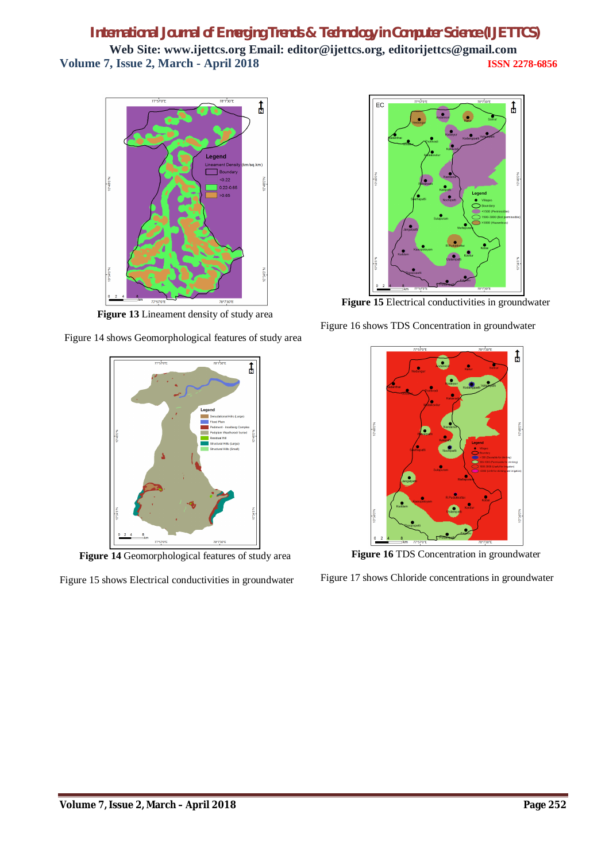

**Figure 13** Lineament density of study area

Figure 14 shows Geomorphological features of study area



**Figure 14** Geomorphological features of study area

Figure 15 shows Electrical conductivities in groundwater



**Figure 15** Electrical conductivities in groundwater

Figure 16 shows TDS Concentration in groundwater



**Figure 16** TDS Concentration in groundwater

Figure 17 shows Chloride concentrations in groundwater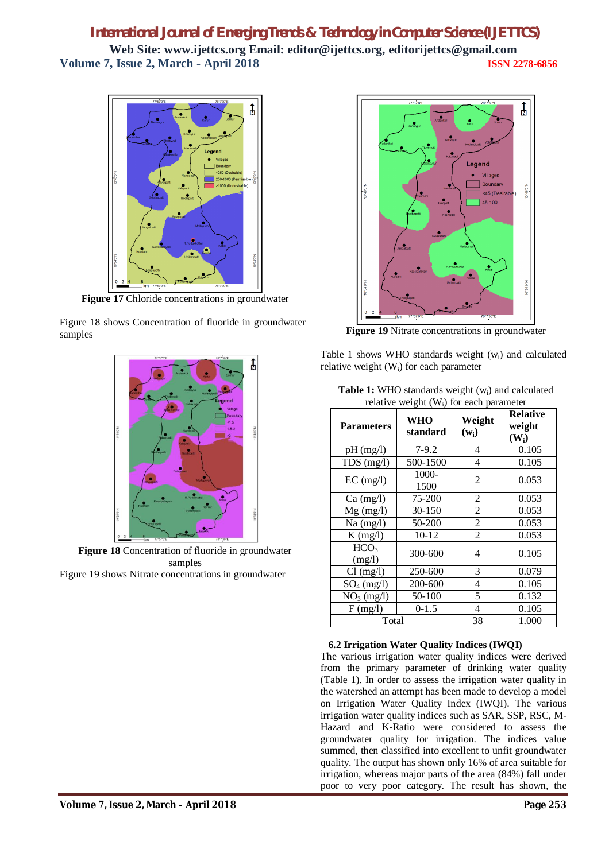

**Figure 17** Chloride concentrations in groundwater

Figure 18 shows Concentration of fluoride in groundwater samples



**Figure 18** Concentration of fluoride in groundwater samples Figure 19 shows Nitrate concentrations in groundwater



**Figure 19** Nitrate concentrations in groundwater

Table 1 shows WHO standards weight  $(w_i)$  and calculated relative weight  $(W_i)$  for each parameter

| <b>Table 1:</b> WHO standards weight $(w_i)$ and calculated |
|-------------------------------------------------------------|
| relative weight $(W_i)$ for each parameter                  |

| relative weight $(w1)$ for each parameter |                        |                   |                                      |  |
|-------------------------------------------|------------------------|-------------------|--------------------------------------|--|
| <b>Parameters</b>                         | <b>WHO</b><br>standard | Weight<br>$(w_i)$ | <b>Relative</b><br>weight<br>$(W_i)$ |  |
| $pH$ (mg/l)                               | $7-9.2$                | 4                 | 0.105                                |  |
| $TDS$ (mg/l)                              | 500-1500               | 4                 | 0.105                                |  |
| $EC$ (mg/l)                               | 1000-<br>1500          | 2                 | 0.053                                |  |
| $Ca \ (mg/l)$                             | 75-200                 | $\overline{c}$    | 0.053                                |  |
| $Mg$ (mg/l)                               | 30-150                 | 2                 | 0.053                                |  |
| $Na$ (mg/l)                               | 50-200                 | 2                 | 0.053                                |  |
| $K$ (mg/l)                                | $10 - 12$              | $\overline{2}$    | 0.053                                |  |
| HCO <sub>3</sub><br>(mg/l)                | 300-600                | 4                 | 0.105                                |  |
| $Cl$ (mg/l)                               | 250-600                | 3                 | 0.079                                |  |
| $SO_4$ (mg/l)                             | 200-600                | 4                 | 0.105                                |  |
| $NO3$ (mg/l)                              | 50-100                 | 5                 | 0.132                                |  |
| F(mg/l)                                   | $0-1.5$                | 4                 | 0.105                                |  |
| Total                                     |                        | 38                | 1.000                                |  |

## **6.2 Irrigation Water Quality Indices (IWQI)**

The various irrigation water quality indices were derived from the primary parameter of drinking water quality (Table 1). In order to assess the irrigation water quality in the watershed an attempt has been made to develop a model on Irrigation Water Quality Index (IWQI). The various irrigation water quality indices such as SAR, SSP, RSC, M-Hazard and K-Ratio were considered to assess the groundwater quality for irrigation. The indices value summed, then classified into excellent to unfit groundwater quality. The output has shown only 16% of area suitable for irrigation, whereas major parts of the area (84%) fall under poor to very poor category. The result has shown, the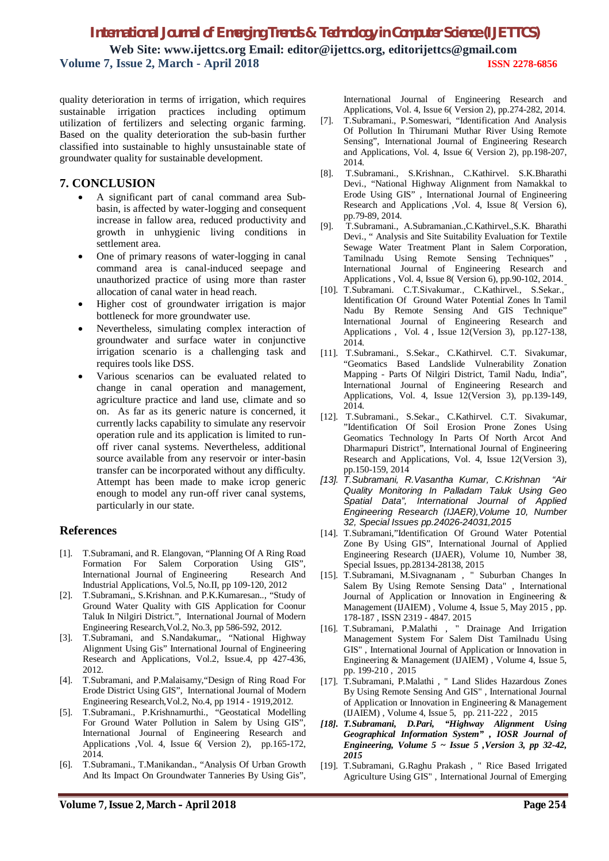quality deterioration in terms of irrigation, which requires sustainable irrigation practices including optimum utilization of fertilizers and selecting organic farming. Based on the quality deterioration the sub-basin further classified into sustainable to highly unsustainable state of groundwater quality for sustainable development.

## **7. CONCLUSION**

- A significant part of canal command area Subbasin, is affected by water-logging and consequent increase in fallow area, reduced productivity and growth in unhygienic living conditions in settlement area.
- One of primary reasons of water-logging in canal command area is canal-induced seepage and unauthorized practice of using more than raster allocation of canal water in head reach.
- Higher cost of groundwater irrigation is major bottleneck for more groundwater use.
- Nevertheless, simulating complex interaction of groundwater and surface water in conjunctive irrigation scenario is a challenging task and requires tools like DSS.
- Various scenarios can be evaluated related to change in canal operation and management, agriculture practice and land use, climate and so on. As far as its generic nature is concerned, it currently lacks capability to simulate any reservoir operation rule and its application is limited to runoff river canal systems. Nevertheless, additional source available from any reservoir or inter-basin transfer can be incorporated without any difficulty. Attempt has been made to make icrop generic enough to model any run-off river canal systems, particularly in our state.

## **References**

- [1]. T.Subramani, and R. Elangovan, "Planning Of A Ring Road Formation For Salem Corporation Using GIS",<br>International Journal of Engineering Research And International Journal of Engineering Industrial Applications, Vol.5, No.II, pp 109-120, 2012
- [2]. T.Subramani,, S.Krishnan. and P.K.Kumaresan.., "Study of Ground Water Quality with GIS Application for Coonur Taluk In Nilgiri District.", International Journal of Modern Engineering Research,Vol.2, No.3, pp 586-592, 2012.
- [3]. T.Subramani, and S.Nandakumar,, "National Highway Alignment Using Gis" International Journal of Engineering Research and Applications, Vol.2, Issue.4, pp 427-436, 2012.
- [4]. T.Subramani, and P.Malaisamy,"Design of Ring Road For Erode District Using GIS", International Journal of Modern Engineering Research,Vol.2, No.4, pp 1914 - 1919,2012.
- [5]. T.Subramani., P.Krishnamurthi., "Geostatical Modelling For Ground Water Pollution in Salem by Using GIS", International Journal of Engineering Research and Applications ,Vol. 4, Issue 6( Version 2), pp.165-172, 2014.
- [6]. T.Subramani., T.Manikandan., "Analysis Of Urban Growth And Its Impact On Groundwater Tanneries By Using Gis",

International Journal of Engineering Research and Applications, Vol. 4, Issue 6( Version 2), pp.274-282, 2014.

- [7]. T.Subramani., P.Someswari, "Identification And Analysis Of Pollution In Thirumani Muthar River Using Remote Sensing", International Journal of Engineering Research and Applications, Vol. 4, Issue 6( Version 2), pp.198-207, 2014.
- [8]. T.Subramani., S.Krishnan., C.Kathirvel. S.K.Bharathi Devi., "National Highway Alignment from Namakkal to Erode Using GIS" , International Journal of Engineering Research and Applications ,Vol. 4, Issue 8( Version 6), pp.79-89, 2014.
- [9]. T.Subramani., A.Subramanian.,C.Kathirvel.,S.K. Bharathi Devi., " Analysis and Site Suitability Evaluation for Textile Sewage Water Treatment Plant in Salem Corporation, Tamilnadu Using Remote Sensing Techniques" , International Journal of Engineering Research and Applications , Vol. 4, Issue 8( Version 6), pp.90-102, 2014.
- [10]. T.Subramani. C.T.Sivakumar., C.Kathirvel., S.Sekar., Identification Of Ground Water Potential Zones In Tamil Nadu By Remote Sensing And GIS Technique" International Journal of Engineering Research and Applications , Vol. 4, Issue 12(Version 3), pp.127-138, 2014.
- [11]. T.Subramani., S.Sekar., C.Kathirvel. C.T. Sivakumar, "Geomatics Based Landslide Vulnerability Zonation Mapping - Parts Of Nilgiri District, Tamil Nadu, India", International Journal of Engineering Research and Applications, Vol. 4, Issue 12(Version 3), pp.139-149, 2014.
- [12]. T.Subramani., S.Sekar., C.Kathirvel. C.T. Sivakumar, "Identification Of Soil Erosion Prone Zones Using Geomatics Technology In Parts Of North Arcot And Dharmapuri District", International Journal of Engineering Research and Applications, Vol. 4, Issue 12(Version 3), pp.150-159, 2014
- *[13]. T.Subramani, R.Vasantha Kumar, C.Krishnan "Air Quality Monitoring In Palladam Taluk Using Geo Spatial Data", International Journal of Applied Engineering Research (IJAER),Volume 10, Number 32, Special Issues pp.24026-24031,2015*
- [14]. T.Subramani,"Identification Of Ground Water Potential Zone By Using GIS", International Journal of Applied Engineering Research (IJAER), Volume 10, Number 38, Special Issues, pp.28134-28138, 2015
- [15]. T.Subramani, M.Sivagnanam , " Suburban Changes In Salem By Using Remote Sensing Data" , International Journal of Application or Innovation in Engineering & Management (IJAIEM) , Volume 4, Issue 5, May 2015 , pp. 178-187 , ISSN 2319 - 4847. 2015
- [16]. T.Subramani, P.Malathi , " Drainage And Irrigation Management System For Salem Dist Tamilnadu Using GIS" , International Journal of Application or Innovation in Engineering & Management (IJAIEM) , Volume 4, Issue 5, pp. 199-210 , 2015
- [17]. T.Subramani, P.Malathi , " Land Slides Hazardous Zones By Using Remote Sensing And GIS" , International Journal of Application or Innovation in Engineering & Management (IJAIEM) , Volume 4, Issue 5, pp. 211-222 , 2015
- *[18]. T.Subramani, D.Pari, "Highway Alignment Using Geographical Information System" , IOSR Journal of Engineering, Volume 5 ~ Issue 5 ,Version 3, pp 32-42, 2015*
- [19]. T.Subramani, G.Raghu Prakash , " Rice Based Irrigated Agriculture Using GIS" , International Journal of Emerging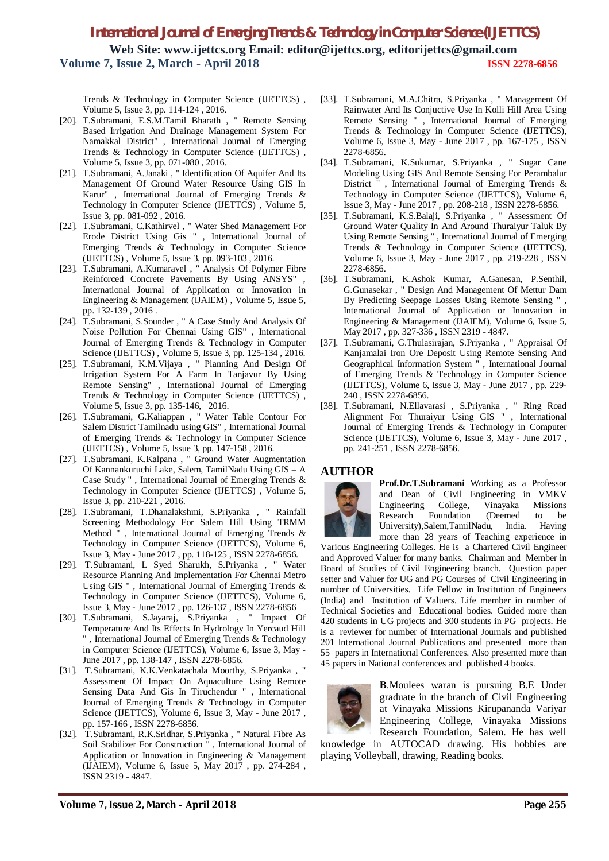Trends & Technology in Computer Science (IJETTCS) , Volume 5, Issue 3, pp. 114-124 , 2016.

- [20]. T.Subramani, E.S.M.Tamil Bharath , " Remote Sensing Based Irrigation And Drainage Management System For Namakkal District" , International Journal of Emerging Trends & Technology in Computer Science (IJETTCS) , Volume 5, Issue 3, pp. 071-080 , 2016.
- [21]. T.Subramani, A.Janaki , " Identification Of Aquifer And Its Management Of Ground Water Resource Using GIS In Karur" , International Journal of Emerging Trends & Technology in Computer Science (IJETTCS) , Volume 5, Issue 3, pp. 081-092 , 2016.
- [22]. T.Subramani, C.Kathirvel , " Water Shed Management For Erode District Using Gis " , International Journal of Emerging Trends & Technology in Computer Science (IJETTCS) , Volume 5, Issue 3, pp. 093-103 , 2016.
- [23]. T.Subramani, A.Kumaravel , " Analysis Of Polymer Fibre Reinforced Concrete Pavements By Using ANSYS" , International Journal of Application or Innovation in Engineering & Management (IJAIEM) , Volume 5, Issue 5, pp. 132-139 , 2016 .
- [24]. T.Subramani, S.Sounder , " A Case Study And Analysis Of Noise Pollution For Chennai Using GIS" , International Journal of Emerging Trends & Technology in Computer Science (IJETTCS), Volume 5, Issue 3, pp. 125-134, 2016.
- [25]. T.Subramani, K.M.Vijaya , " Planning And Design Of Irrigation System For A Farm In Tanjavur By Using Remote Sensing" , International Journal of Emerging Trends & Technology in Computer Science (IJETTCS), Volume 5, Issue 3, pp. 135-146, 2016.
- [26]. T.Subramani, G.Kaliappan , " Water Table Contour For Salem District Tamilnadu using GIS" , International Journal of Emerging Trends & Technology in Computer Science (IJETTCS) , Volume 5, Issue 3, pp. 147-158 , 2016.
- [27]. T.Subramani, K.Kalpana , " Ground Water Augmentation Of Kannankuruchi Lake, Salem, TamilNadu Using GIS – A Case Study " , International Journal of Emerging Trends & Technology in Computer Science (IJETTCS), Volume 5, Issue 3, pp. 210-221 , 2016.
- [28]. T.Subramani, T.Dhanalakshmi, S.Priyanka , " Rainfall Screening Methodology For Salem Hill Using TRMM Method " , International Journal of Emerging Trends & Technology in Computer Science (IJETTCS), Volume 6, Issue 3, May - June 2017 , pp. 118-125 , ISSN 2278-6856.
- [29]. T.Subramani, L Syed Sharukh, S.Priyanka , " Water Resource Planning And Implementation For Chennai Metro Using GIS " , International Journal of Emerging Trends & Technology in Computer Science (IJETTCS), Volume 6, Issue 3, May - June 2017 , pp. 126-137 , ISSN 2278-6856
- [30]. T.Subramani, S.Jayaraj, S.Priyanka , " Impact Of Temperature And Its Effects In Hydrology In Yercaud Hill " , International Journal of Emerging Trends & Technology in Computer Science (IJETTCS), Volume 6, Issue 3, May - June 2017 , pp. 138-147 , ISSN 2278-6856.
- [31]. T.Subramani, K.K.Venkatachala Moorthy, S.Priyanka , " Assessment Of Impact On Aquaculture Using Remote Sensing Data And Gis In Tiruchendur " , International Journal of Emerging Trends & Technology in Computer Science (IJETTCS), Volume 6, Issue 3, May - June 2017 , pp. 157-166 , ISSN 2278-6856.
- [32]. T.Subramani, R.K.Sridhar, S.Priyanka , " Natural Fibre As Soil Stabilizer For Construction " , International Journal of Application or Innovation in Engineering & Management (IJAIEM), Volume 6, Issue 5, May 2017 , pp. 274-284 , ISSN 2319 - 4847.
- [33]. T.Subramani, M.A.Chitra, S.Priyanka , " Management Of Rainwater And Its Conjuctive Use In Kolli Hill Area Using Remote Sensing " , International Journal of Emerging Trends & Technology in Computer Science (IJETTCS), Volume 6, Issue 3, May - June 2017 , pp. 167-175 , ISSN 2278-6856.
- [34]. T.Subramani, K.Sukumar, S.Priyanka , " Sugar Cane Modeling Using GIS And Remote Sensing For Perambalur District " , International Journal of Emerging Trends & Technology in Computer Science (IJETTCS), Volume 6, Issue 3, May - June 2017 , pp. 208-218 , ISSN 2278-6856.
- [35]. T.Subramani, K.S.Balaji, S.Priyanka , " Assessment Of Ground Water Quality In And Around Thuraiyur Taluk By Using Remote Sensing " , International Journal of Emerging Trends & Technology in Computer Science (IJETTCS), Volume 6, Issue 3, May - June 2017 , pp. 219-228 , ISSN 2278-6856.
- [36]. T.Subramani, K.Ashok Kumar, A.Ganesan, P.Senthil, G.Gunasekar , " Design And Management Of Mettur Dam By Predicting Seepage Losses Using Remote Sensing " , International Journal of Application or Innovation in Engineering & Management (IJAIEM), Volume 6, Issue 5, May 2017 , pp. 327-336 , ISSN 2319 - 4847.
- [37]. T.Subramani, G.Thulasirajan, S.Priyanka , " Appraisal Of Kanjamalai Iron Ore Deposit Using Remote Sensing And Geographical Information System " , International Journal of Emerging Trends & Technology in Computer Science (IJETTCS), Volume 6, Issue 3, May - June 2017 , pp. 229- 240 , ISSN 2278-6856.
- [38]. T.Subramani, N.Ellavarasi , S.Priyanka , " Ring Road Alignment For Thuraiyur Using GIS " , International Journal of Emerging Trends & Technology in Computer Science (IJETTCS), Volume 6, Issue 3, May - June 2017 , pp. 241-251 , ISSN 2278-6856.

#### **AUTHOR**



**Prof.Dr.T.Subramani** Working as a Professor and Dean of Civil Engineering in VMKV Engineering College, Vinayaka Missions Research Foundation (Deemed to be University),Salem,TamilNadu, India. Having more than 28 years of Teaching experience in

Various Engineering Colleges. He is a Chartered Civil Engineer and Approved Valuer for many banks. Chairman and Member in Board of Studies of Civil Engineering branch. Question paper setter and Valuer for UG and PG Courses of Civil Engineering in number of Universities. Life Fellow in Institution of Engineers (India) and Institution of Valuers. Life member in number of Technical Societies and Educational bodies. Guided more than 420 students in UG projects and 300 students in PG projects. He is a reviewer for number of International Journals and published 201 International Journal Publications and presented more than 55 papers in International Conferences. Also presented more than 45 papers in National conferences and published 4 books.



**B**.Moulees waran is pursuing B.E Under graduate in the branch of Civil Engineering at Vinayaka Missions Kirupananda Variyar Engineering College, Vinayaka Missions Research Foundation, Salem. He has well

knowledge in AUTOCAD drawing. His hobbies are playing Volleyball, drawing, Reading books.